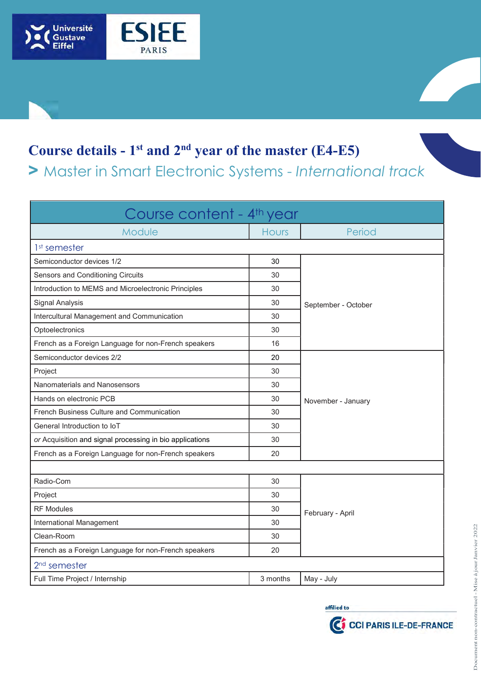

## Course details -  $1<sup>st</sup>$  and  $2<sup>nd</sup>$  year of the master (E4-E5)

> Master in Smart Electronic Systems - International track

| Course content - 4 <sup>th</sup> year                    |              |                                           |  |
|----------------------------------------------------------|--------------|-------------------------------------------|--|
| Module                                                   | <b>Hours</b> | Period                                    |  |
| 1 <sup>st</sup> semester                                 |              |                                           |  |
| Semiconductor devices 1/2                                | 30           | September - October                       |  |
| Sensors and Conditioning Circuits                        | 30           |                                           |  |
| Introduction to MEMS and Microelectronic Principles      | 30           |                                           |  |
| <b>Signal Analysis</b>                                   | 30           |                                           |  |
| Intercultural Management and Communication               | 30           |                                           |  |
| Optoelectronics                                          | 30           |                                           |  |
| French as a Foreign Language for non-French speakers     | 16           |                                           |  |
| Semiconductor devices 2/2                                | 20           | November - January                        |  |
| Project                                                  | 30           |                                           |  |
| Nanomaterials and Nanosensors                            | 30           |                                           |  |
| Hands on electronic PCB                                  | 30           |                                           |  |
| French Business Culture and Communication                | 30           |                                           |  |
| General Introduction to IoT                              | 30           |                                           |  |
| or Acquisition and signal processing in bio applications | 30           |                                           |  |
| French as a Foreign Language for non-French speakers     | 20           |                                           |  |
|                                                          |              |                                           |  |
| Radio-Com                                                | 30           | February - April                          |  |
| Project                                                  | 30           |                                           |  |
| <b>RF Modules</b>                                        | 30           |                                           |  |
| International Management                                 | 30           |                                           |  |
| Clean-Room                                               | 30           |                                           |  |
| French as a Foreign Language for non-French speakers     | 20           |                                           |  |
| 2 <sup>nd</sup> semester                                 |              |                                           |  |
| Full Time Project / Internship                           | 3 months     | May - July                                |  |
|                                                          |              | affilied to<br>CO COI PARIS ILE-DE-FRANCE |  |